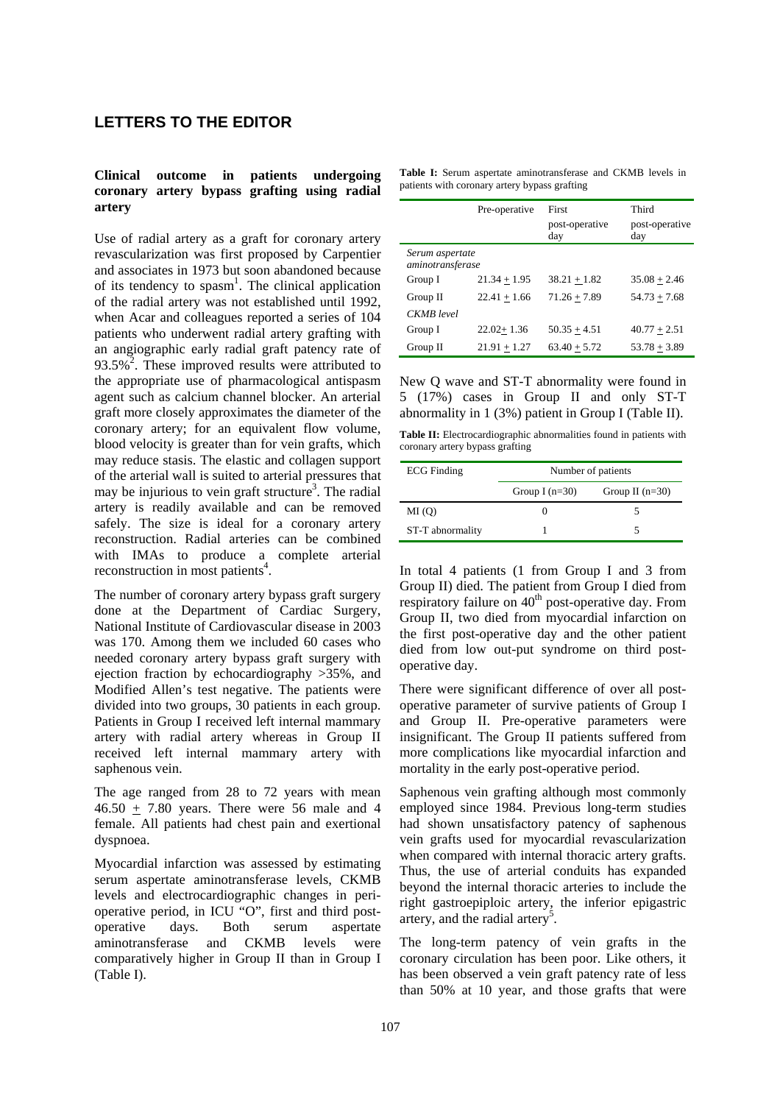# **LETTERS TO THE EDITOR**

## **Clinical outcome in patients undergoing coronary artery bypass grafting using radial artery**

Use of radial artery as a graft for coronary artery revascularization was first proposed by Carpentier and associates in 1973 but soon abandoned because of its tendency to spasm<sup>1</sup>. The clinical application of the radial artery was not established until 1992, when Acar and colleagues reported a series of 104 patients who underwent radial artery grafting with an angiographic early radial graft patency rate of 93.5%<sup>2</sup>. These improved results were attributed to the appropriate use of pharmacological antispasm agent such as calcium channel blocker. An arterial graft more closely approximates the diameter of the coronary artery; for an equivalent flow volume, blood velocity is greater than for vein grafts, which may reduce stasis. The elastic and collagen support of the arterial wall is suited to arterial pressures that may be injurious to vein graft structure<sup>3</sup>. The radial artery is readily available and can be removed safely. The size is ideal for a coronary artery reconstruction. Radial arteries can be combined with IMAs to produce a complete arterial reconstruction in most patients<sup>4</sup>.

The number of coronary artery bypass graft surgery done at the Department of Cardiac Surgery, National Institute of Cardiovascular disease in 2003 was 170. Among them we included 60 cases who needed coronary artery bypass graft surgery with ejection fraction by echocardiography >35%, and Modified Allen's test negative. The patients were divided into two groups, 30 patients in each group. Patients in Group I received left internal mammary artery with radial artery whereas in Group II received left internal mammary artery with saphenous vein.

The age ranged from 28 to 72 years with mean  $46.50 \pm 7.80$  years. There were 56 male and 4 female. All patients had chest pain and exertional dyspnoea.

Myocardial infarction was assessed by estimating serum aspertate aminotransferase levels, CKMB levels and electrocardiographic changes in perioperative period, in ICU "O", first and third postoperative days. Both serum aspertate aminotransferase and CKMB levels were comparatively higher in Group II than in Group I (Table I).

| <b>Table I:</b> Serum aspertate aminotransferase and CKMB levels in |  |  |  |  |  |  |  |  |
|---------------------------------------------------------------------|--|--|--|--|--|--|--|--|
| patients with coronary artery bypass grafting                       |  |  |  |  |  |  |  |  |

|                                     | Pre-operative  | First                 | Third                 |  |  |
|-------------------------------------|----------------|-----------------------|-----------------------|--|--|
|                                     |                | post-operative<br>day | post-operative<br>day |  |  |
| Serum aspertate<br>aminotransferase |                |                       |                       |  |  |
| Group I                             | $21.34 + 1.95$ | $38.21 + 1.82$        | $35.08 + 2.46$        |  |  |
| Group II                            | $22.41 + 1.66$ | $71.26 + 7.89$        | $54.73 + 7.68$        |  |  |
| <b>CKMB</b> level                   |                |                       |                       |  |  |
| Group I                             | $22.02 + 1.36$ | $50.35 + 4.51$        | $40.77 + 2.51$        |  |  |
| Group II                            | $21.91 + 1.27$ | $63.40 + 5.72$        | $53.78 + 3.89$        |  |  |

New Q wave and ST-T abnormality were found in 5 (17%) cases in Group II and only ST-T abnormality in 1 (3%) patient in Group I (Table II).

Table II: Electrocardiographic abnormalities found in patients with coronary artery bypass grafting

| <b>ECG</b> Finding | Number of patients |                   |  |  |
|--------------------|--------------------|-------------------|--|--|
|                    | Group I $(n=30)$   | Group II $(n=30)$ |  |  |
| MI(0)              |                    |                   |  |  |
| ST-T abnormality   |                    |                   |  |  |

In total 4 patients (1 from Group I and 3 from Group II) died. The patient from Group I died from respiratory failure on  $40<sup>th</sup>$  post-operative day. From Group II, two died from myocardial infarction on the first post-operative day and the other patient died from low out-put syndrome on third postoperative day.

There were significant difference of over all postoperative parameter of survive patients of Group I and Group II. Pre-operative parameters were insignificant. The Group II patients suffered from more complications like myocardial infarction and mortality in the early post-operative period.

Saphenous vein grafting although most commonly employed since 1984. Previous long-term studies had shown unsatisfactory patency of saphenous vein grafts used for myocardial revascularization when compared with internal thoracic artery grafts. Thus, the use of arterial conduits has expanded beyond the internal thoracic arteries to include the right gastroepiploic artery, the inferior epigastric artery, and the radial artery<sup>5</sup>.

The long-term patency of vein grafts in the coronary circulation has been poor. Like others, it has been observed a vein graft patency rate of less than 50% at 10 year, and those grafts that were